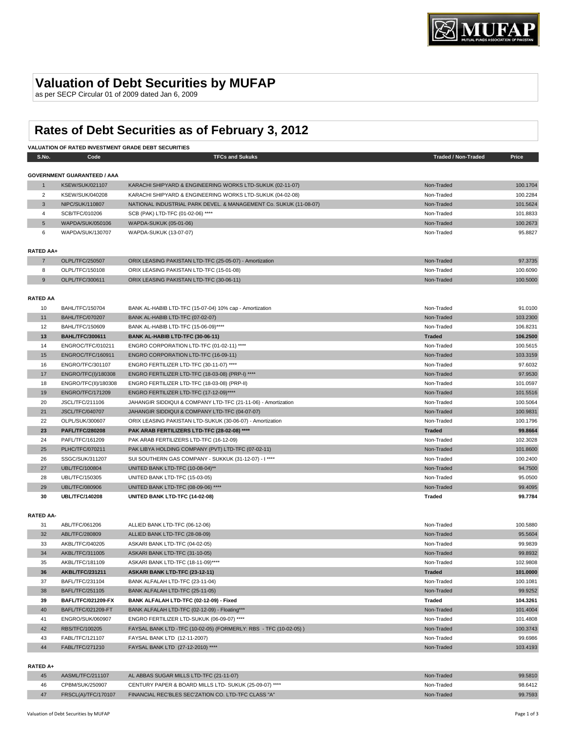# **Valuation of Debt Securities by MUFAP**

as per SECP Circular 01 of 2009 dated Jan 6, 2009

# **Rates of Debt Securities as of February 3, 2012**

| VALUATION OF RATED INVESTMENT GRADE DEBT SECURITIES |                                    |                                                                   |                            |          |
|-----------------------------------------------------|------------------------------------|-------------------------------------------------------------------|----------------------------|----------|
| S.No.                                               | Code                               | <b>TFCs and Sukuks</b>                                            | <b>Traded / Non-Traded</b> | Price    |
|                                                     |                                    |                                                                   |                            |          |
|                                                     | <b>GOVERNMENT GUARANTEED / AAA</b> |                                                                   |                            |          |
| $\mathbf{1}$                                        | <b>KSEW/SUK/021107</b>             | KARACHI SHIPYARD & ENGINEERING WORKS LTD-SUKUK (02-11-07)         | Non-Traded                 | 100.1704 |
| $\overline{2}$                                      | <b>KSEW/SUK/040208</b>             | KARACHI SHIPYARD & ENGINEERING WORKS LTD-SUKUK (04-02-08)         | Non-Traded                 | 100.2284 |
| 3                                                   | NIPC/SUK/110807                    | NATIONAL INDUSTRIAL PARK DEVEL. & MANAGEMENT Co. SUKUK (11-08-07) | Non-Traded                 | 101.5624 |
| 4                                                   | SCB/TFC/010206                     | SCB (PAK) LTD-TFC (01-02-06) ****                                 | Non-Traded                 | 101.8833 |
| $\sqrt{5}$                                          | WAPDA/SUK/050106                   | WAPDA-SUKUK (05-01-06)                                            | Non-Traded                 | 100.2673 |
| 6                                                   | WAPDA/SUK/130707                   | WAPDA-SUKUK (13-07-07)                                            | Non-Traded                 | 95.8827  |
|                                                     |                                    |                                                                   |                            |          |
| RATED AA+                                           |                                    |                                                                   |                            |          |
| $\overline{7}$                                      | OLPL/TFC/250507                    | ORIX LEASING PAKISTAN LTD-TFC (25-05-07) - Amortization           | Non-Traded                 | 97.3735  |
| 8                                                   | OLPL/TFC/150108                    | ORIX LEASING PAKISTAN LTD-TFC (15-01-08)                          | Non-Traded                 | 100.6090 |
| 9                                                   | OLPL/TFC/300611                    | ORIX LEASING PAKISTAN LTD-TFC (30-06-11)                          | Non-Traded                 | 100.5000 |
|                                                     |                                    |                                                                   |                            |          |
| <b>RATED AA</b>                                     |                                    |                                                                   |                            |          |
| 10                                                  | <b>BAHL/TFC/150704</b>             | BANK AL-HABIB LTD-TFC (15-07-04) 10% cap - Amortization           | Non-Traded                 | 91.0100  |
| 11                                                  | <b>BAHL/TFC/070207</b>             | BANK AL-HABIB LTD-TFC (07-02-07)                                  | Non-Traded                 | 103.2300 |
| 12                                                  | <b>BAHL/TFC/150609</b>             | BANK AL-HABIB LTD-TFC (15-06-09)****                              | Non-Traded                 | 106.8231 |
| 13                                                  | <b>BAHL/TFC/300611</b>             | BANK AL-HABIB LTD-TFC (30-06-11)                                  | <b>Traded</b>              | 106.2500 |
| 14                                                  | ENGROC/TFC/010211                  | ENGRO CORPORATION LTD-TFC (01-02-11) ****                         | Non-Traded                 | 100.5615 |
| 15                                                  | ENGROC/TFC/160911                  | ENGRO CORPORATION LTD-TFC (16-09-11)                              | Non-Traded                 | 103.3159 |
| 16                                                  | ENGRO/TFC/301107                   | ENGRO FERTILIZER LTD-TFC (30-11-07) ****                          | Non-Traded                 | 97.6032  |
| 17                                                  | ENGRO/TFC(I)/180308                | ENGRO FERTILIZER LTD-TFC (18-03-08) (PRP-I) ****                  | Non-Traded                 | 97.9530  |
| 18                                                  | ENGRO/TFC(II)/180308               | ENGRO FERTILIZER LTD-TFC (18-03-08) (PRP-II)                      | Non-Traded                 | 101.0597 |
| 19                                                  | <b>ENGRO/TFC/171209</b>            | ENGRO FERTILIZER LTD-TFC (17-12-09)****                           | Non-Traded                 | 101.5516 |
| 20                                                  | JSCL/TFC/211106                    | JAHANGIR SIDDIQUI & COMPANY LTD-TFC (21-11-06) - Amortization     | Non-Traded                 | 100.5064 |
| 21                                                  | <b>JSCL/TFC/040707</b>             | JAHANGIR SIDDIQUI & COMPANY LTD-TFC (04-07-07)                    | Non-Traded                 | 100.9831 |
| 22                                                  | OLPL/SUK/300607                    | ORIX LEASING PAKISTAN LTD-SUKUK (30-06-07) - Amortization         | Non-Traded                 | 100.1796 |
| 23                                                  | <b>PAFL/TFC/280208</b>             | PAK ARAB FERTILIZERS LTD-TFC (28-02-08) ****                      | <b>Traded</b>              | 99.8664  |
| 24                                                  | PAFL/TFC/161209                    | PAK ARAB FERTILIZERS LTD-TFC (16-12-09)                           | Non-Traded                 | 102.3028 |
| 25                                                  | PLHC/TFC/070211                    | PAK LIBYA HOLDING COMPANY (PVT) LTD-TFC (07-02-11)                | Non-Traded                 | 101.8600 |
| 26                                                  | SSGC/SUK/311207                    | SUI SOUTHERN GAS COMPANY - SUKKUK (31-12-07) - I ****             | Non-Traded                 | 100.2400 |
| 27                                                  | <b>UBL/TFC/100804</b>              | UNITED BANK LTD-TFC (10-08-04)**                                  | Non-Traded                 | 94.7500  |
| 28                                                  | UBL/TFC/150305                     | UNITED BANK LTD-TFC (15-03-05)                                    | Non-Traded                 | 95.0500  |
| 29                                                  | <b>UBL/TFC/080906</b>              | UNITED BANK LTD-TFC (08-09-06) ****                               | Non-Traded                 | 99.4095  |
| 30                                                  | <b>UBL/TFC/140208</b>              | UNITED BANK LTD-TFC (14-02-08)                                    | Traded                     | 99.7784  |
|                                                     |                                    |                                                                   |                            |          |
| <b>RATED AA-</b>                                    |                                    |                                                                   |                            |          |
| 31                                                  | ABL/TFC/061206                     | ALLIED BANK LTD-TFC (06-12-06)                                    | Non-Traded                 | 100.5880 |
| 32                                                  | ABL/TFC/280809                     | ALLIED BANK LTD-TFC (28-08-09)                                    | Non-Traded                 | 95.5604  |
| 33                                                  | AKBL/TFC/040205                    | ASKARI BANK LTD-TFC (04-02-05)                                    | Non-Traded                 | 99.9839  |
| 34                                                  | AKBL/TFC/311005                    | ASKARI BANK LTD-TFC (31-10-05)                                    | Non-Traded                 | 99.8932  |
|                                                     |                                    |                                                                   | Non-Traded                 |          |
| 35                                                  | AKBL/TFC/181109                    | ASKARI BANK LTD-TFC (18-11-09)****                                |                            | 102.9808 |
| 36                                                  | <b>AKBL/TFC/231211</b>             | ASKARI BANK LTD-TFC (23-12-11)<br>BANK ALFALAH LTD-TFC (23-11-04) | <b>Traded</b>              | 101.0000 |
| 37                                                  | BAFL/TFC/231104                    |                                                                   | Non-Traded                 | 100.1081 |
| 38                                                  | BAFL/TFC/251105                    | BANK ALFALAH LTD-TFC (25-11-05)                                   | Non-Traded                 | 99.9252  |
| 39                                                  | <b>BAFL/TFC/021209-FX</b>          | BANK ALFALAH LTD-TFC (02-12-09) - Fixed                           | Traded                     | 104.3261 |
| 40                                                  | BAFL/TFC/021209-FT                 | BANK ALFALAH LTD-TFC (02-12-09) - Floating***                     | Non-Traded                 | 101.4004 |
| 41                                                  | ENGRO/SUK/060907                   | ENGRO FERTILIZER LTD-SUKUK (06-09-07) ****                        | Non-Traded                 | 101.4808 |
| 42                                                  | RBS/TFC/100205                     | FAYSAL BANK LTD -TFC (10-02-05) (FORMERLY: RBS - TFC (10-02-05))  | Non-Traded                 | 100.3743 |
| 43                                                  | FABL/TFC/121107                    | FAYSAL BANK LTD (12-11-2007)                                      | Non-Traded                 | 99.6986  |
| 44                                                  | FABL/TFC/271210                    | FAYSAL BANK LTD (27-12-2010) ****                                 | Non-Traded                 | 103.4193 |
| <b>RATED AL</b>                                     |                                    |                                                                   |                            |          |

#### **RATED A+**

|    | AASML/TFC/211107    | AL ABBAS SUGAR MILLS LTD-TFC (21-11-07)                | Non-Traded | 99.5810 |
|----|---------------------|--------------------------------------------------------|------------|---------|
| 46 | CPBM/SUK/250907     | CENTURY PAPER & BOARD MILLS LTD- SUKUK (25-09-07) **** | Non-Traded | 98.6412 |
|    | FRSCL(A)/TFC/170107 | FINANCIAL REC'BLES SEC'ZATION CO. LTD-TFC CLASS "A"    | Non-Traded | 99.7593 |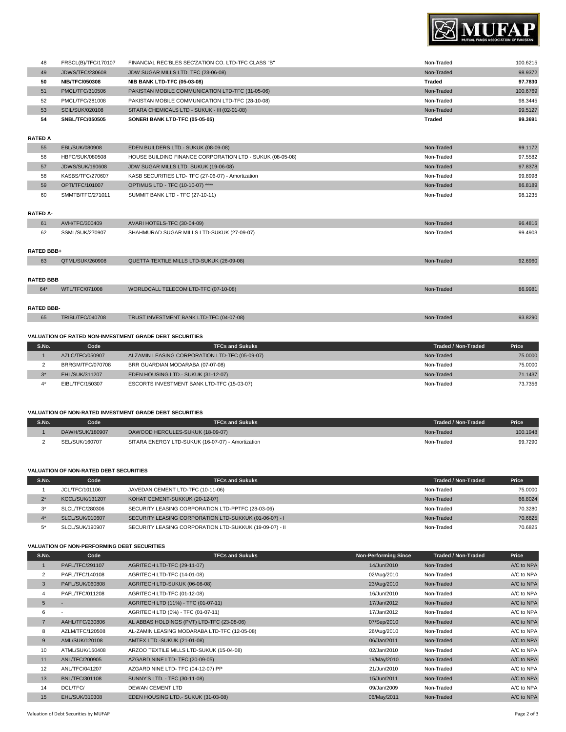

| 48 | FRSCL(B)/TFC/170107    | FINANCIAL REC'BLES SEC'ZATION CO. LTD-TFC CLASS "B" | Non-Traded | 100.6215 |
|----|------------------------|-----------------------------------------------------|------------|----------|
| 49 | <b>JDWS/TFC/230608</b> | JDW SUGAR MILLS LTD. TFC (23-06-08)                 | Non-Traded | 98.9372  |
| 50 | <b>NIB/TFC/050308</b>  | <b>NIB BANK LTD-TFC (05-03-08)</b>                  | Traded     | 97.7830  |
| 51 | PMCL/TFC/310506        | PAKISTAN MOBILE COMMUNICATION LTD-TFC (31-05-06)    | Non-Traded | 100,6769 |
| 52 | PMCL/TFC/281008        | PAKISTAN MOBILE COMMUNICATION LTD-TFC (28-10-08)    | Non-Traded | 98.3445  |
| 53 | <b>SCIL/SUK/020108</b> | SITARA CHEMICALS LTD - SUKUK - III (02-01-08)       | Non-Traded | 99.5127  |
| 54 | SNBL/TFC/050505        | SONERI BANK LTD-TFC (05-05-05)                      | Traded     | 99.3691  |
|    |                        |                                                     |            |          |

# **RATED A**

| 55 | EBL/SUK/080908         | EDEN BUILDERS LTD.- SUKUK (08-09-08)                      | Non-Traded | 99.1172 |
|----|------------------------|-----------------------------------------------------------|------------|---------|
| 56 | HBFC/SUK/080508        | HOUSE BUILDING FINANCE CORPORATION LTD - SUKUK (08-05-08) | Non-Traded | 97.5582 |
| 57 | <b>JDWS/SUK/190608</b> | JDW SUGAR MILLS LTD. SUKUK (19-06-08)                     | Non-Traded | 97.8378 |
| 58 | KASBS/TFC/270607       | KASB SECURITIES LTD- TFC (27-06-07) - Amortization        | Non-Traded | 99.8998 |
| 59 | OPTI/TFC/101007        | OPTIMUS LTD - TFC (10-10-07) ****                         | Non-Traded | 86.8189 |
| 60 | SMMTB/TFC/271011       | SUMMIT BANK LTD - TFC (27-10-11)                          | Non-Traded | 98.1235 |
|    |                        |                                                           |            |         |

## **RATED A-**

| 61                | AVH/TFC/300409          | AVARI HOTELS-TFC (30-04-09)                | Non-Traded | 96,4816 |
|-------------------|-------------------------|--------------------------------------------|------------|---------|
| 62                | SSML/SUK/270907         | SHAHMURAD SUGAR MILLS LTD-SUKUK (27-09-07) | Non-Traded | 99.4903 |
|                   |                         |                                            |            |         |
| <b>RATED BBB+</b> |                         |                                            |            |         |
| 63                | QTML/SUK/260908         | QUETTA TEXTILE MILLS LTD-SUKUK (26-09-08)  | Non-Traded | 92.6960 |
|                   |                         |                                            |            |         |
| <b>RATED BBB</b>  |                         |                                            |            |         |
| 64*               | WTL/TFC/071008          | WORLDCALL TELECOM LTD-TFC (07-10-08)       | Non-Traded | 86,9981 |
|                   |                         |                                            |            |         |
| <b>RATED BBB-</b> |                         |                                            |            |         |
| 65                | <b>TRIBL/TFC/040708</b> | TRUST INVESTMENT BANK LTD-TFC (04-07-08)   | Non-Traded | 93.8290 |

### **VALUATION OF RATED NON-INVESTMENT GRADE DEBT SECURITIES**

| S.No. | Code                  | <b>TFCs and Sukuks</b>                         | Traded / Non-Traded | Price   |
|-------|-----------------------|------------------------------------------------|---------------------|---------|
|       | AZLC/TFC/050907       | ALZAMIN LEASING CORPORATION LTD-TFC (05-09-07) | Non-Traded          | 75,0000 |
|       | BRRGM/TFC/070708      | BRR GUARDIAN MODARABA (07-07-08)               | Non-Traded          | 75,0000 |
| $2*$  | <b>EHL/SUK/311207</b> | EDEN HOUSING LTD.- SUKUK (31-12-07)            | Non-Traded          | 71.1437 |
| $A*$  | EIBL/TFC/150307       | ESCORTS INVESTMENT BANK LTD-TFC (15-03-07)     | Non-Traded          | 73.7356 |

### **VALUATION OF NON-RATED INVESTMENT GRADE DEBT SECURITIES**

| S.No. | code            | TFCs and Sukuks                                   | Traded / Non-Traded | Price    |
|-------|-----------------|---------------------------------------------------|---------------------|----------|
|       | DAWH/SUK/180907 | DAWOOD HERCULES-SUKUK (18-09-07)                  | Non-Traded          | 100.1948 |
|       | SEL/SUK/160707  | SITARA ENERGY LTD-SUKUK (16-07-07) - Amortization | Non-Traded          | 99.7290  |

#### **VALUATION OF NON-RATED DEBT SECURITIES**

| S.No. | Code                   | <b>TFCs and Sukuks</b>                                  | <b>Traded / Non-Traded</b> | <b>Price</b> |
|-------|------------------------|---------------------------------------------------------|----------------------------|--------------|
|       | JCL/TFC/101106         | JAVEDAN CEMENT LTD-TFC (10-11-06)                       | Non-Traded                 | 75,0000      |
| $2^*$ | <b>KCCL/SUK/131207</b> | KOHAT CEMENT-SUKKUK (20-12-07)                          | Non-Traded                 | 66.8024      |
| $3^*$ | SLCL/TFC/280306        | SECURITY LEASING CORPORATION LTD-PPTFC (28-03-06)       | Non-Traded                 | 70.3280      |
|       | SLCL/SUK/010607        | SECURITY LEASING CORPORATION LTD-SUKKUK (01-06-07) - I  | Non-Traded                 | 70.6825      |
| $5^*$ | SLCL/SUK/190907        | SECURITY LEASING CORPORATION LTD-SUKKUK (19-09-07) - II | Non-Traded                 | 70.6825      |

#### **VALUATION OF NON-PERFORMING DEBT SECURITIES**

| S.No.          | Code                     | <b>TFCs and Sukuks</b>                       | <b>Non-Performing Since</b> | <b>Traded / Non-Traded</b> | Price      |
|----------------|--------------------------|----------------------------------------------|-----------------------------|----------------------------|------------|
|                | PAFL/TFC/291107          | AGRITECH LTD-TFC (29-11-07)                  | 14/Jun/2010                 | Non-Traded                 | A/C to NPA |
| 2              | PAFL/TFC/140108          | AGRITECH LTD-TFC (14-01-08)                  | 02/Aug/2010                 | Non-Traded                 | A/C to NPA |
| 3              | PAFL/SUK/060808          | AGRITECH LTD-SUKUK (06-08-08)                | 23/Aug/2010                 | Non-Traded                 | A/C to NPA |
| 4              | PAFL/TFC/011208          | AGRITECH LTD-TFC (01-12-08)                  | 16/Jun/2010                 | Non-Traded                 | A/C to NPA |
| 5              | ٠                        | AGRITECH LTD (11%) - TFC (01-07-11)          | 17/Jan/2012                 | Non-Traded                 | A/C to NPA |
| 6              | $\overline{\phantom{a}}$ | AGRITECH LTD (0%) - TFC (01-07-11)           | 17/Jan/2012                 | Non-Traded                 | A/C to NPA |
| $\overline{7}$ | AAHL/TFC/230806          | AL ABBAS HOLDINGS (PVT) LTD-TFC (23-08-06)   | 07/Sep/2010                 | Non-Traded                 | A/C to NPA |
| 8              | AZLM/TFC/120508          | AL-ZAMIN LEASING MODARABA LTD-TFC (12-05-08) | 26/Aug/2010                 | Non-Traded                 | A/C to NPA |
| 9              | AML/SUK/120108           | AMTEX LTD.-SUKUK (21-01-08)                  | 06/Jan/2011                 | Non-Traded                 | A/C to NPA |
| 10             | ATML/SUK/150408          | ARZOO TEXTILE MILLS LTD-SUKUK (15-04-08)     | 02/Jan/2010                 | Non-Traded                 | A/C to NPA |
| 11             | ANL/TFC/200905           | AZGARD NINE LTD- TFC (20-09-05)              | 19/May/2010                 | Non-Traded                 | A/C to NPA |
| 12             | ANL/TFC/041207           | AZGARD NINE LTD- TFC (04-12-07) PP           | 21/Jun/2010                 | Non-Traded                 | A/C to NPA |
| 13             | <b>BNL/TFC/301108</b>    | BUNNY'S LTD. - TFC (30-11-08)                | 15/Jun/2011                 | Non-Traded                 | A/C to NPA |
| 14             | DCL/TFC/                 | <b>DEWAN CEMENT LTD</b>                      | 09/Jan/2009                 | Non-Traded                 | A/C to NPA |
| 15             | EHL/SUK/310308           | EDEN HOUSING LTD.- SUKUK (31-03-08)          | 06/May/2011                 | Non-Traded                 | A/C to NPA |